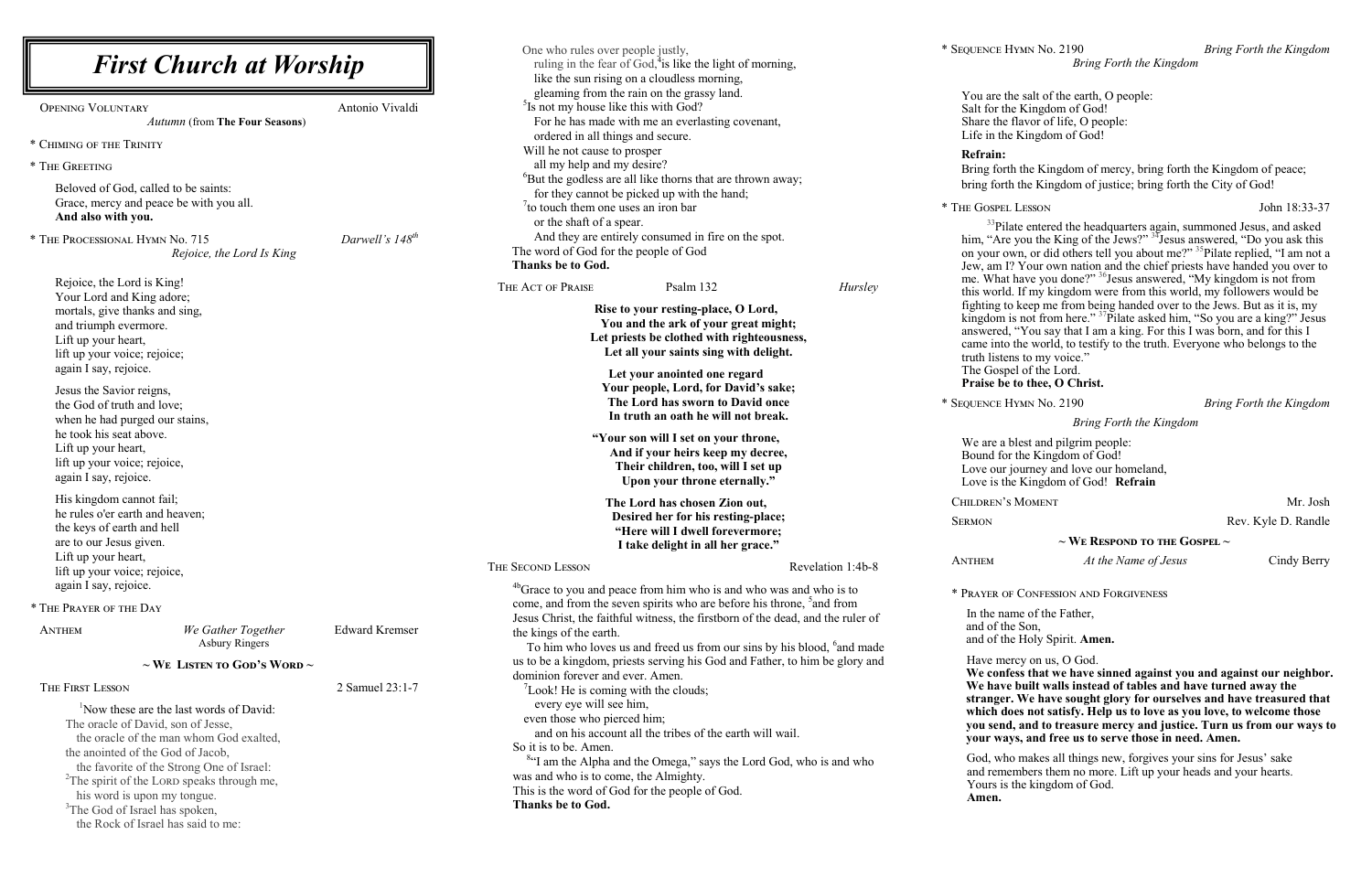**We confess that we have sinned against you and against our neighbor. P** built walls instead of tables and have turned away the **stranger. We have sought glory for ourselves and have treasured that which does not satisfy. Help us to love as you love, to welcome those k**, and to treasure mercy and justice. Turn us from our ways to ys, and free us to serve those in need. Amen.

o makes all things new, forgives your sins for Jesus' sake embers them no more. Lift up your heads and your hearts. the kingdom of God.

 $\times$  Lesson John 18:33-37

he salt of the earth, O people: e Kingdom of God! flavor of life, O people: e Kingdom of God!

th the Kingdom of mercy, bring forth the Kingdom of peace; h the Kingdom of justice; bring forth the City of God!

ate entered the headquarters again, summoned Jesus, and asked him, "Are you the King of the Jews?" <sup>34</sup> Jesus answered, "Do you ask this on your own, or did others tell you about me?" 35 Pilate replied, "I am not a  $\overline{Y}$  Your own nation and the chief priests have handed you over to me. What have you done?" <sup>36</sup>Jesus answered, "My kingdom is not from  $t$ . If my kingdom were from this world, my followers would be o keep me from being handed over to the Jews. But as it is, my kingdom is not from here." <sup>37</sup>Pilate asked him, "So you are a king?" Jesus "You say that I am a king. For this I was born, and for this I the world, to testify to the truth. Everyone who belongs to the ins to my voice."

el of the Lord. **to thee, O Christ.** 

| <b>First Church at Worship</b>                                                                                                                                                                                                                                                                                                                                                                                          |                       | One who rules over people justly,<br>ruling in the fear of God, <sup>4</sup> is like the light of morning,<br>like the sun rising on a cloudless morning,                                                                                                                                                                                                                                                                              |                                                                                                                                             |
|-------------------------------------------------------------------------------------------------------------------------------------------------------------------------------------------------------------------------------------------------------------------------------------------------------------------------------------------------------------------------------------------------------------------------|-----------------------|----------------------------------------------------------------------------------------------------------------------------------------------------------------------------------------------------------------------------------------------------------------------------------------------------------------------------------------------------------------------------------------------------------------------------------------|---------------------------------------------------------------------------------------------------------------------------------------------|
| <b>OPENING VOLUNTARY</b><br><b>Autumn (from The Four Seasons)</b>                                                                                                                                                                                                                                                                                                                                                       | Antonio Vivaldi       | gleaming from the rain on the grassy land.<br><sup>5</sup> Is not my house like this with God?<br>For he has made with me an everlasting covenant,<br>ordered in all things and secure.                                                                                                                                                                                                                                                | You are th<br>Salt for th<br>Share the<br>Life in the                                                                                       |
| * CHIMING OF THE TRINITY<br>* THE GREETING<br>Beloved of God, called to be saints:<br>Grace, mercy and peace be with you all.<br>And also with you.<br>* THE PROCESSIONAL HYMN No. 715<br>Rejoice, the Lord Is King<br>Rejoice, the Lord is King!<br>Your Lord and King adore;                                                                                                                                          | Darwell's $148^{th}$  | Will he not cause to prosper<br>all my help and my desire?<br><sup>6</sup> But the godless are all like thorns that are thrown away;<br>for they cannot be picked up with the hand;<br>$\frac{7}{1}$ to touch them one uses an iron bar<br>or the shaft of a spear.<br>And they are entirely consumed in fire on the spot.<br>The word of God for the people of God<br>Thanks be to God.<br>THE ACT OF PRAISE<br>Psalm 132<br>Hursley  | <b>Refrain:</b><br>Bring fort<br>bring forth<br>* THE GOSPEL<br>$33$ Pila<br>him, "Are<br>on your o<br>Jew, am I'<br>me. What<br>this world |
| mortals, give thanks and sing,<br>and triumph evermore.<br>Lift up your heart,<br>lift up your voice; rejoice;<br>again I say, rejoice.                                                                                                                                                                                                                                                                                 |                       | Rise to your resting-place, O Lord,<br>You and the ark of your great might;<br>Let priests be clothed with righteousness,<br>Let all your saints sing with delight.<br>Let your anointed one regard                                                                                                                                                                                                                                    | fighting to<br>kingdom i<br>answered,<br>came into<br>truth lister<br>The Gosp                                                              |
| Jesus the Savior reigns,<br>the God of truth and love;<br>when he had purged our stains,<br>he took his seat above.<br>Lift up your heart,<br>lift up your voice; rejoice,<br>again I say, rejoice.                                                                                                                                                                                                                     |                       | Your people, Lord, for David's sake;<br>The Lord has sworn to David once<br>In truth an oath he will not break.<br>"Your son will I set on your throne,<br>And if your heirs keep my decree,<br>Their children, too, will I set up<br>Upon your throne eternally."                                                                                                                                                                     | Praise be<br>* SEQUENCE H<br>We are a l<br>Bound for<br>Love our<br>Love is the                                                             |
| His kingdom cannot fail;<br>he rules o'er earth and heaven;<br>the keys of earth and hell<br>are to our Jesus given.<br>Lift up your heart,                                                                                                                                                                                                                                                                             |                       | The Lord has chosen Zion out,<br>Desired her for his resting-place;<br>"Here will I dwell forevermore;<br>I take delight in all her grace."                                                                                                                                                                                                                                                                                            | CHILDREN'S<br><b>SERMON</b><br><b>ANTHEM</b>                                                                                                |
| lift up your voice; rejoice,<br>again I say, rejoice.<br>* THE PRAYER OF THE DAY                                                                                                                                                                                                                                                                                                                                        |                       | THE SECOND LESSON<br>Revelation 1:4b-8<br><sup>4b</sup> Grace to you and peace from him who is and who was and who is to<br>come, and from the seven spirits who are before his throne, <sup>5</sup> and from                                                                                                                                                                                                                          | * PRAYER OF                                                                                                                                 |
| We Gather Together<br><b>ANTHEM</b><br><b>Asbury Ringers</b><br>$\sim$ We Listen to God's Word $\sim$                                                                                                                                                                                                                                                                                                                   | <b>Edward Kremser</b> | Jesus Christ, the faithful witness, the firstborn of the dead, and the ruler of<br>the kings of the earth.<br>To him who loves us and freed us from our sins by his blood, <sup>6</sup> and made<br>us to be a kingdom, priests serving his God and Father, to him be glory and                                                                                                                                                        | In the nat<br>and of the<br>and of the<br>Have me<br>We conf                                                                                |
| THE FIRST LESSON<br><sup>1</sup> Now these are the last words of David:<br>The oracle of David, son of Jesse,<br>the oracle of the man whom God exalted,<br>the anointed of the God of Jacob,<br>the favorite of the Strong One of Israel:<br><sup>2</sup> The spirit of the LORD speaks through me,<br>his word is upon my tongue.<br><sup>3</sup> The God of Israel has spoken,<br>the Rock of Israel has said to me: | 2 Samuel 23:1-7       | dominion forever and ever. Amen.<br>$\mathrm{7}$ Look! He is coming with the clouds;<br>every eye will see him,<br>even those who pierced him;<br>and on his account all the tribes of the earth will wail.<br>So it is to be. Amen.<br><sup>84</sup> I am the Alpha and the Omega," says the Lord God, who is and who<br>was and who is to come, the Almighty.<br>This is the word of God for the people of God.<br>Thanks be to God. | We have<br>stranger<br>which do<br>you send<br>your way<br>God, who<br>and reme<br>Yours is<br>Amen.                                        |

\* Sequence Hymn No. 2190 *Bring Forth the Kingdom*

*Bring Forth the Kingdom*

blest and pilgrim people: r the Kingdom of God! journey and love our homeland, le Kingdom of God! **Refrain** 

SMOMENT Mr. Josh

Rev. Kyle D. Randle

**~ We Respond to the Gospel ~**

At the Name of Jesus Cindy Berry

**F CONFESSION AND FORGIVENESS** 

In the Father, e Son, and Holy Spirit. **Amen.** 

ercy on us, O God.